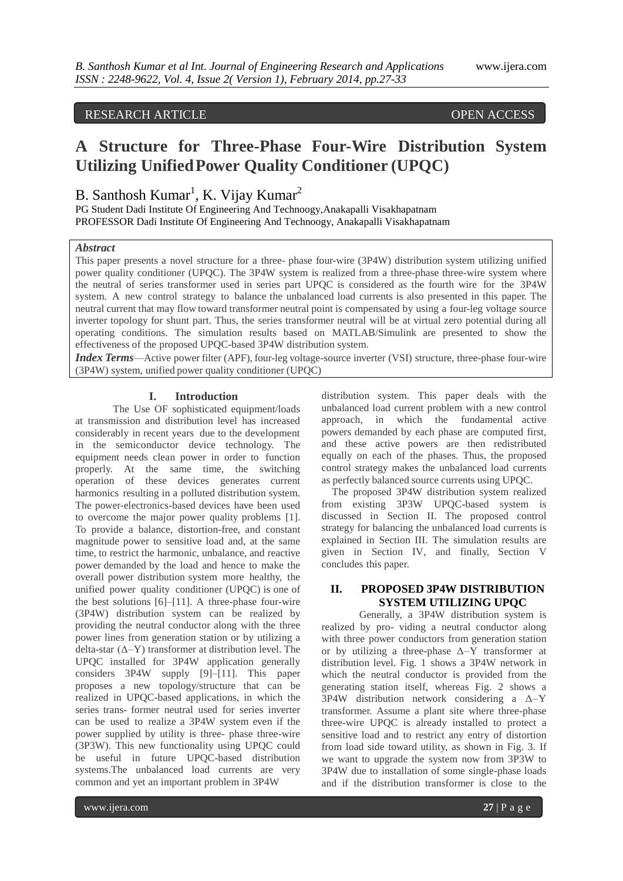## RESEARCH ARTICLE OPEN ACCESS

# **A Structure for Three-Phase Four-Wire Distribution System Utilizing UnifiedPower Quality Conditioner (UPQC)**

## B. Santhosh Kumar<sup>1</sup>, K. Vijay Kumar<sup>2</sup>

PG Student Dadi Institute Of Engineering And Technoogy,Anakapalli Visakhapatnam PROFESSOR Dadi Institute Of Engineering And Technoogy, Anakapalli Visakhapatnam

## *Abstract*

This paper presents a novel structure for a three- phase four-wire (3P4W) distribution system utilizing unified power quality conditioner (UPQC). The 3P4W system is realized from a three-phase three-wire system where the neutral of series transformer used in series part UPQC is considered as the fourth wire for the 3P4W system. A new control strategy to balance the unbalanced load currents is also presented in this paper. The neutral current that may flow toward transformer neutral point is compensated by using a four-leg voltage source inverter topology for shunt part. Thus, the series transformer neutral will be at virtual zero potential during all operating conditions. The simulation results based on MATLAB/Simulink are presented to show the effectiveness of the proposed UPQC-based 3P4W distribution system.

*Index Terms*—Active power filter (APF), four-leg voltage-source inverter (VSI) structure, three-phase four-wire (3P4W) system, unified power quality conditioner (UPQC)

#### **I. Introduction**

The Use OF sophisticated equipment/loads at transmission and distribution level has increased considerably in recent years due to the development in the semiconductor device technology. The equipment needs clean power in order to function properly. At the same time, the switching operation of these devices generates current harmonics resulting in a polluted distribution system. The power-electronics-based devices have been used to overcome the major power quality problems [1]. To provide a balance, distortion-free, and constant magnitude power to sensitive load and, at the same time, to restrict the harmonic, unbalance, and reactive power demanded by the load and hence to make the overall power distribution system more healthy, the unified power quality conditioner (UPQC) is one of the best solutions [6]–[11]. A three-phase four-wire (3P4W) distribution system can be realized by providing the neutral conductor along with the three power lines from generation station or by utilizing a delta-star  $(Δ-Y)$  transformer at distribution level. The UPQC installed for 3P4W application generally considers 3P4W supply [9]–[11]. This paper proposes a new topology/structure that can be realized in UPQC-based applications, in which the series trans- former neutral used for series inverter can be used to realize a 3P4W system even if the power supplied by utility is three- phase three-wire (3P3W). This new functionality using UPQC could be useful in future UPQC-based distribution systems.The unbalanced load currents are very common and yet an important problem in 3P4W

distribution system. This paper deals with the unbalanced load current problem with a new control approach, in which the fundamental active powers demanded by each phase are computed first, and these active powers are then redistributed equally on each of the phases. Thus, the proposed control strategy makes the unbalanced load currents as perfectly balanced source currents using UPQC.

The proposed 3P4W distribution system realized from existing 3P3W UPQC-based system is discussed in Section II. The proposed control strategy for balancing the unbalanced load currents is explained in Section III. The simulation results are given in Section IV, and finally, Section V concludes this paper.

## **II. PROPOSED 3P4W DISTRIBUTION SYSTEM UTILIZING UPQC**

Generally, a 3P4W distribution system is realized by pro- viding a neutral conductor along with three power conductors from generation station or by utilizing a three-phase  $\Delta$ -Y transformer at distribution level. Fig. 1 shows a 3P4W network in which the neutral conductor is provided from the generating station itself, whereas Fig. 2 shows a 3P4W distribution network considering a Δ–Y transformer. Assume a plant site where three-phase three-wire UPQC is already installed to protect a sensitive load and to restrict any entry of distortion from load side toward utility, as shown in Fig. 3. If we want to upgrade the system now from 3P3W to 3P4W due to installation of some single-phase loads and if the distribution transformer is close to the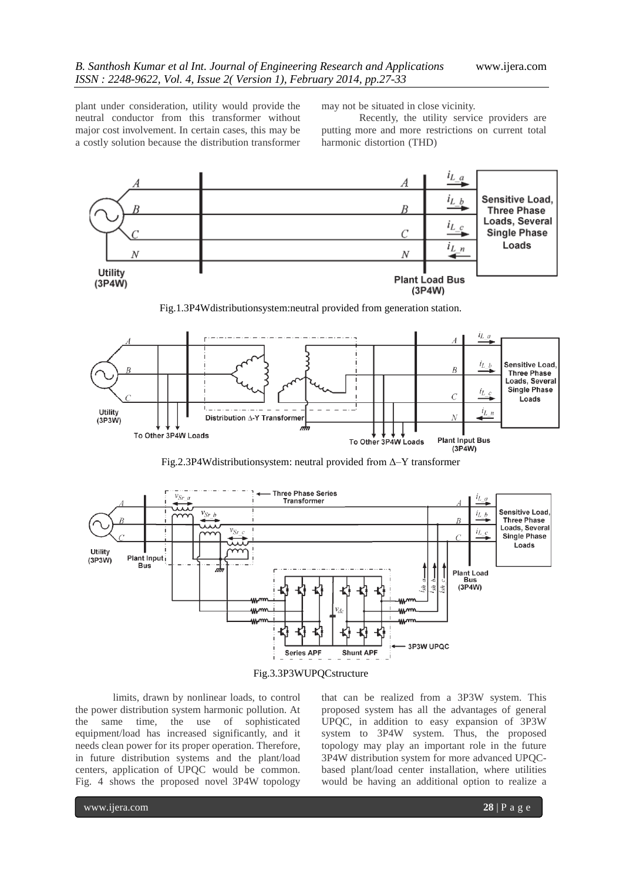plant under consideration, utility would provide the neutral conductor from this transformer without major cost involvement. In certain cases, this may be a costly solution because the distribution transformer

may not be situated in close vicinity.

Recently, the utility service providers are putting more and more restrictions on current total harmonic distortion (THD)



Fig.1.3P4Wdistributionsystem:neutral provided from generation station.



Fig.2.3P4Wdistributionsystem: neutral provided from Δ–Y transformer



Fig.3.3P3WUPQCstructure

limits, drawn by nonlinear loads, to control the power distribution system harmonic pollution. At the same time, the use of sophisticated equipment/load has increased significantly, and it needs clean power for its proper operation. Therefore, in future distribution systems and the plant/load centers, application of UPQC would be common. Fig. 4 shows the proposed novel 3P4W topology

that can be realized from a 3P3W system. This proposed system has all the advantages of general UPQC, in addition to easy expansion of 3P3W system to 3P4W system. Thus, the proposed topology may play an important role in the future 3P4W distribution system for more advanced UPQCbased plant/load center installation, where utilities would be having an additional option to realize a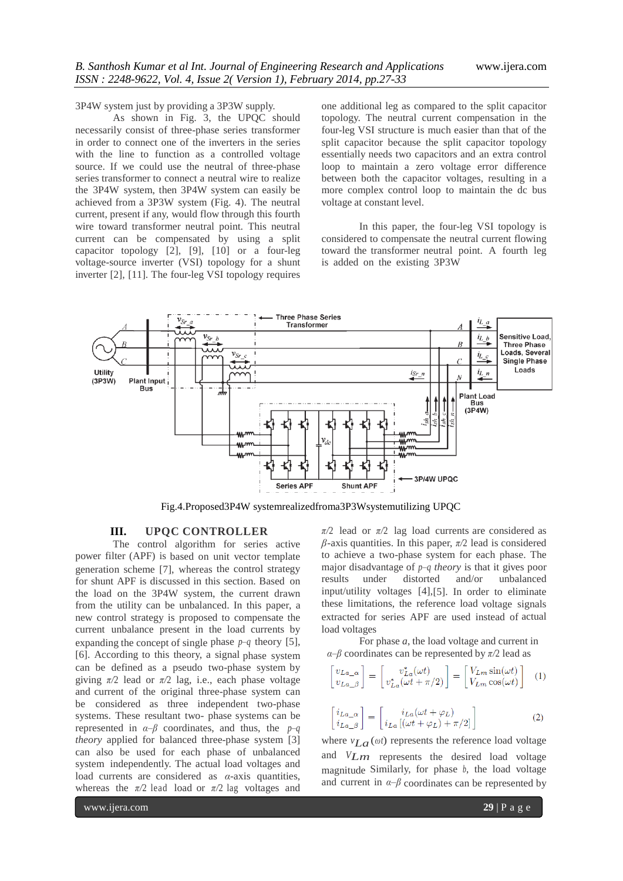3P4W system just by providing a 3P3W supply.

As shown in Fig. 3, the UPQC should necessarily consist of three-phase series transformer in order to connect one of the inverters in the series with the line to function as a controlled voltage source. If we could use the neutral of three-phase series transformer to connect a neutral wire to realize the 3P4W system, then 3P4W system can easily be achieved from a 3P3W system (Fig. 4). The neutral current, present if any, would flow through this fourth wire toward transformer neutral point. This neutral current can be compensated by using a split capacitor topology [2], [9], [10] or a four-leg voltage-source inverter (VSI) topology for a shunt inverter [2], [11]. The four-leg VSI topology requires one additional leg as compared to the split capacitor topology. The neutral current compensation in the four-leg VSI structure is much easier than that of the split capacitor because the split capacitor topology essentially needs two capacitors and an extra control loop to maintain a zero voltage error difference between both the capacitor voltages, resulting in a more complex control loop to maintain the dc bus voltage at constant level.

In this paper, the four-leg VSI topology is considered to compensate the neutral current flowing toward the transformer neutral point. A fourth leg is added on the existing 3P3W



Fig.4.Proposed3P4W systemrealizedfroma3P3Wsystemutilizing UPQC

## **III. UPQC CONTROLLER**

The control algorithm for series active power filter (APF) is based on unit vector template generation scheme [7], whereas the control strategy for shunt APF is discussed in this section. Based on the load on the 3P4W system, the current drawn from the utility can be unbalanced. In this paper, a new control strategy is proposed to compensate the current unbalance present in the load currents by expanding the concept of single phase *p*–*q* theory [5], [6]. According to this theory, a signal phase system can be defined as a pseudo two-phase system by giving *π/*2 lead or *π/*2 lag, i.e., each phase voltage and current of the original three-phase system can be considered as three independent two-phase systems. These resultant two- phase systems can be represented in *α*–*β* coordinates, and thus, the *p*–*q theory* applied for balanced three-phase system [3] can also be used for each phase of unbalanced system independently. The actual load voltages and load currents are considered as *α*-axis quantities, whereas the  $\pi/2$  lead load or  $\pi/2$  lag voltages and

*π/*2 lead or *π/*2 lag load currents are considered as *β*-axis quantities. In this paper, *π/*2 lead is considered to achieve a two-phase system for each phase. The major disadvantage of *p*–*q theory* is that it gives poor results under distorted and/or unbalanced input/utility voltages [4],[5]. In order to eliminate these limitations, the reference load voltage signals extracted for series APF are used instead of actual load voltages

For phase *a*, the load voltage and current in *α*–*β* coordinates can be represented by *π/*2 lead as

$$
\begin{bmatrix} v_{La}\ v_{La}\ v_{La}\end{bmatrix} = \begin{bmatrix} v_{La}^*(\omega t) \\ v_{La}^*(\omega t + \pi/2) \end{bmatrix} = \begin{bmatrix} V_{Lm}\sin(\omega t) \\ V_{Lm}\cos(\omega t) \end{bmatrix} \quad (1)
$$

$$
\begin{bmatrix} i_{La_{\alpha}} \\ i_{La_{\alpha}} \end{bmatrix} = \begin{bmatrix} i_{La}(\omega t + \varphi_L) \\ i_{La}[(\omega t + \varphi_L) + \pi/2] \end{bmatrix}
$$
 (2)

where  $v_{L,a}(\omega t)$  represents the reference load voltage and *VLm* represents the desired load voltage magnitude Similarly, for phase *<sup>b</sup>*, the load voltage and current in  $\alpha-\beta$  coordinates can be represented by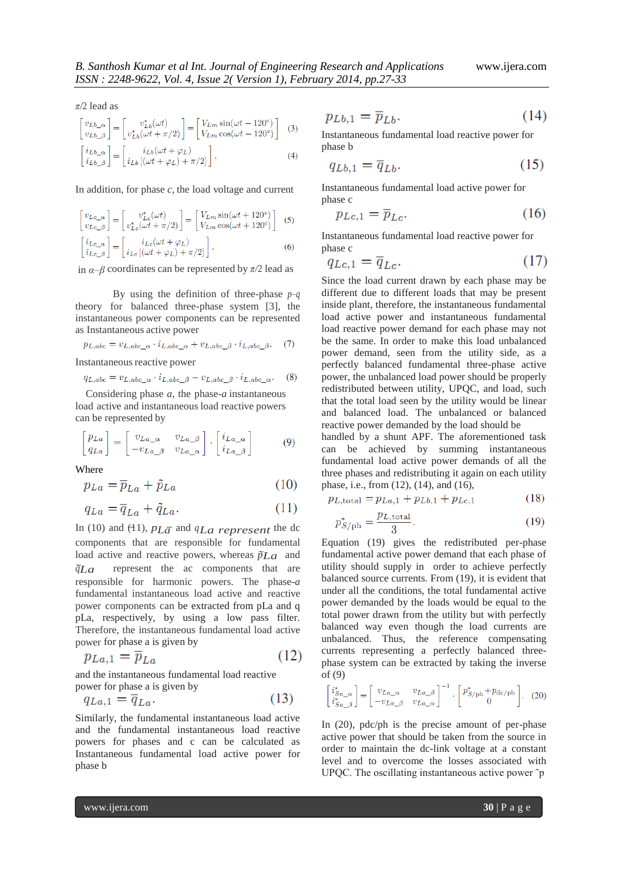*π/*2 lead as

$$
\begin{bmatrix} v_{Lb} \\ v_{Lb} \\ \beta \end{bmatrix} = \begin{bmatrix} v_{Lb}^* (\omega t) \\ v_{Lb}^* (\omega t + \pi/2) \end{bmatrix} = \begin{bmatrix} V_{Lm} \sin(\omega t - 120^\circ) \\ V_{Lm} \cos(\omega t - 120^\circ) \end{bmatrix}
$$
(3)

$$
\begin{bmatrix} i_{Lb}\ i_{Lb}\end{bmatrix} = \begin{bmatrix} i_{Lb}(\omega t + \varphi_L) \\ i_{Lb}\left[ (\omega t + \varphi_L) + \pi/2 \right] \end{bmatrix}.
$$
 (4)

In addition, for phase *c*, the load voltage and current

$$
\begin{bmatrix} v_{Lc_{\alpha}} \\ v_{Lc_{\beta}} \end{bmatrix} = \begin{bmatrix} v_{Lc}^*(\omega t) \\ v_{Lc}^*(\omega t + \pi/2) \end{bmatrix} = \begin{bmatrix} V_{Lm} \sin(\omega t + 120^\circ) \\ V_{Lm} \cos(\omega t + 120^\circ) \end{bmatrix}
$$
 (5)  
\n
$$
\begin{bmatrix} i_{Lc_{\alpha}} \\ i_{Lc_{\beta}} \end{bmatrix} = \begin{bmatrix} i_{Lc}(\omega t + \varphi_L) \\ i_{Lc}[(\omega t + \varphi_L) + \pi/2] \end{bmatrix}.
$$
 (6)

in *α*–*β* coordinates can be represented by *π/*2 lead as

By using the definition of three-phase *p*–*q* theory for balanced three-phase system [3], the instantaneous power components can be represented as Instantaneous active power

$$
p_{L,abc} = v_{L,abc}\alpha \cdot i_{L,abc}\alpha + v_{L,abc}\beta \cdot i_{L,abc}\beta. \tag{7}
$$

Instantaneous reactive power

$$
q_{L,abc} = v_{L,abc}\alpha \cdot i_{L,abc}\beta - v_{L,abc}\beta \cdot i_{L,abc}\alpha. \tag{8}
$$

Considering phase *a*, the phase-*a* instantaneous load active and instantaneous load reactive powers can be represented by

$$
\begin{bmatrix} p_{La} \\ q_{La} \end{bmatrix} = \begin{bmatrix} v_{La_{\alpha}} & v_{La_{\beta}} \\ -v_{La_{\beta}} & v_{La_{\alpha}} \end{bmatrix} \cdot \begin{bmatrix} i_{La_{\alpha}} \\ i_{La_{\beta}} \end{bmatrix}
$$
 (9)

Where

$$
p_{La} = \overline{p}_{La} + \tilde{p}_{La} \tag{10}
$$

$$
q_{La} = \overline{q}_{La} + \tilde{q}_{La}.\tag{11}
$$

In (10) and (11),  $p_{L\bar{a}}$  and  $q_{La}$  represent the dc components that are responsible for fundamental load active and reactive powers, whereas  $\tilde{p}L_a$  and  $\tilde{q}Lq$  represent the ac components that are responsible for harmonic powers. The phase-*a* fundamental instantaneous load active and reactive power components can be extracted from pLa and q pLa, respectively, by using a low pass filter. Therefore, the instantaneous fundamental load active power for phase a is given by

$$
p_{La,1} = \overline{p}_{La} \tag{12}
$$

and the instantaneous fundamental load reactive power for phase a is given by

$$
q_{La,1} = \overline{q}_{La}.\tag{13}
$$

Similarly, the fundamental instantaneous load active and the fundamental instantaneous load reactive powers for phases and c can be calculated as Instantaneous fundamental load active power for phase b

$$
p_{Lb,1} = \overline{p}_{Lb}.\tag{14}
$$

Instantaneous fundamental load reactive power for phase b

$$
q_{Lb,1} = \overline{q}_{Lb}.\tag{15}
$$

Instantaneous fundamental load active power for phase c

$$
p_{Lc,1} = \overline{p}_{Lc}.\tag{16}
$$

Instantaneous fundamental load reactive power for phase c

$$
q_{Lc,1} = \overline{q}_{Lc}.\tag{17}
$$

Since the load current drawn by each phase may be different due to different loads that may be present inside plant, therefore, the instantaneous fundamental load active power and instantaneous fundamental load reactive power demand for each phase may not be the same. In order to make this load unbalanced power demand, seen from the utility side, as a perfectly balanced fundamental three-phase active power, the unbalanced load power should be properly redistributed between utility, UPQC, and load, such that the total load seen by the utility would be linear and balanced load. The unbalanced or balanced reactive power demanded by the load should be

handled by a shunt APF. The aforementioned task can be achieved by summing instantaneous fundamental load active power demands of all the three phases and redistributing it again on each utility phase, i.e., from (12), (14), and (16),

$$
p_{L, \text{total}} = p_{La,1} + p_{Lb,1} + p_{Lc,1} \tag{18}
$$

$$
p_{S/\text{ph}}^* = \frac{p_{L,\text{total}}}{3}.\tag{19}
$$

Equation (19) gives the redistributed per-phase fundamental active power demand that each phase of utility should supply in order to achieve perfectly balanced source currents. From (19), it is evident that under all the conditions, the total fundamental active power demanded by the loads would be equal to the total power drawn from the utility but with perfectly balanced way even though the load currents are unbalanced. Thus, the reference compensating currents representing a perfectly balanced threephase system can be extracted by taking the inverse of (9)

$$
\begin{bmatrix} i_{Sa_{-\alpha}}^* \\ i_{Sa_{-\beta}}^* \end{bmatrix} = \begin{bmatrix} v_{La_{-\alpha}} & v_{La_{-\beta}} \\ -v_{La_{-\beta}} & v_{La_{-\alpha}} \end{bmatrix}^{-1} \cdot \begin{bmatrix} p_{S/\text{ph}}^* + p_{\text{dc}/\text{ph}} \\ 0 \end{bmatrix}.
$$
 (20)

In (20), pdc/ph is the precise amount of per-phase active power that should be taken from the source in order to maintain the dc-link voltage at a constant level and to overcome the losses associated with UPQC. The oscillating instantaneous active power ˜p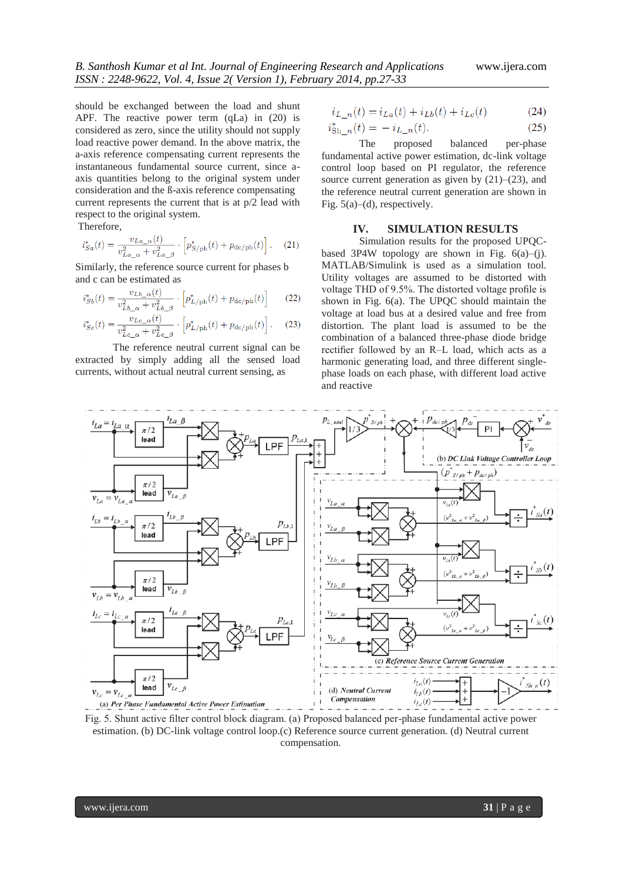should be exchanged between the load and shunt APF. The reactive power term (qLa) in (20) is considered as zero, since the utility should not supply load reactive power demand. In the above matrix, the a-axis reference compensating current represents the instantaneous fundamental source current, since aaxis quantities belong to the original system under consideration and the ß-axis reference compensating current represents the current that is at p/2 lead with respect to the original system.

Therefore,

$$
i_{Sa}^*(t) = \frac{v_{La}\_\alpha(t)}{v_{La}\_\alpha + v_{La}\_\beta} \cdot \left[ p_{S/\text{ph}}^*(t) + p_{\text{dc}/\text{ph}}(t) \right]. \tag{21}
$$

Similarly, the reference source current for phases b and c can be estimated as

$$
i_{Sb}^*(t) = \frac{v_{Lb}\_\alpha(t)}{v_{Lb}\_\alpha + v_{Lb}\_\beta} \cdot \left[ p_{L/\mathrm{ph}}^*(t) + p_{\mathrm{dc}/\mathrm{ph}}(t) \right] \tag{22}
$$

$$
i_{Sc}^{*}(t) = \frac{v_{Lc_{\alpha}}(t)}{v_{Lc_{\alpha}}^{2} + v_{Lc_{\alpha}}^{2}} \cdot \left[ p_{L/\text{ph}}^{*}(t) + p_{\text{dc}/\text{ph}}(t) \right].
$$
 (23)

The reference neutral current signal can be extracted by simply adding all the sensed load currents, without actual neutral current sensing, as

$$
i_{L_n}(t) = i_{La}(t) + i_{Lb}(t) + i_{Lc}(t)
$$
\n(24)

$$
i_{\text{Sh}_-n}^*(t) = -i_{L_n}(t). \tag{25}
$$

The proposed balanced per-phase fundamental active power estimation, dc-link voltage control loop based on PI regulator, the reference source current generation as given by  $(21)$ – $(23)$ , and the reference neutral current generation are shown in Fig.  $5(a)$ –(d), respectively.

#### **IV. SIMULATION RESULTS**

Simulation results for the proposed UPQCbased 3P4W topology are shown in Fig.  $6(a)$ –(j). MATLAB/Simulink is used as a simulation tool. Utility voltages are assumed to be distorted with voltage THD of 9.5%. The distorted voltage profile is shown in Fig. 6(a). The UPQC should maintain the voltage at load bus at a desired value and free from distortion. The plant load is assumed to be the combination of a balanced three-phase diode bridge rectifier followed by an R–L load, which acts as a harmonic generating load, and three different singlephase loads on each phase, with different load active and reactive



Fig. 5. Shunt active filter control block diagram. (a) Proposed balanced per-phase fundamental active power estimation. (b) DC-link voltage control loop.(c) Reference source current generation. (d) Neutral current compensation.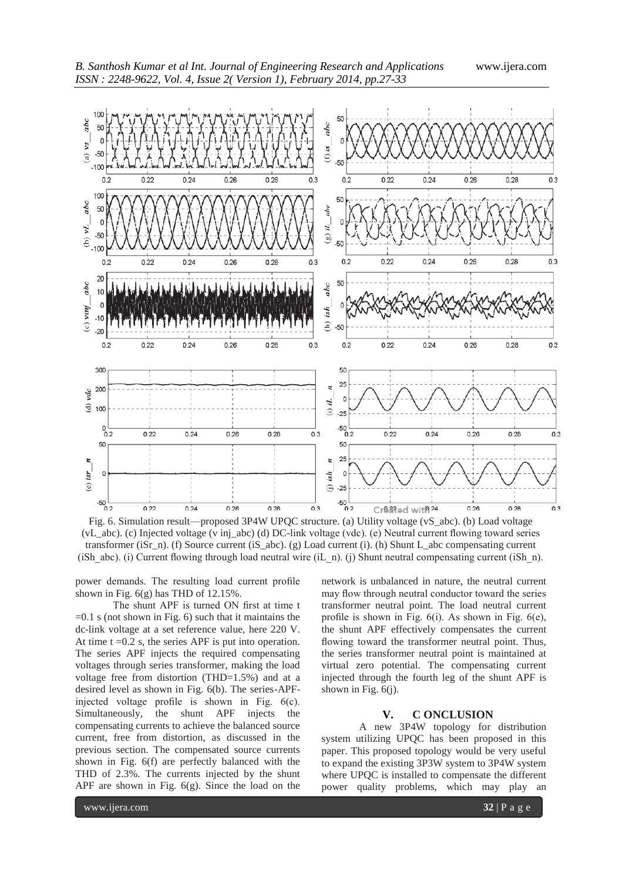

Fig. 6. Simulation result—proposed 3P4W UPQC structure. (a) Utility voltage (vS\_abc). (b) Load voltage (vL\_abc). (c) Injected voltage (v inj\_abc) (d) DC-link voltage (vdc). (e) Neutral current flowing toward series transformer (iSr\_n). (f) Source current (iS\_abc). (g) Load current (i). (h) Shunt L\_abc compensating current (iSh abc). (i) Current flowing through load neutral wire (iL\_n). (j) Shunt neutral compensating current (iSh\_n).

power demands. The resulting load current profile shown in Fig.  $6(g)$  has THD of 12.15%.

The shunt APF is turned ON first at time t  $=0.1$  s (not shown in Fig. 6) such that it maintains the dc-link voltage at a set reference value, here 220 V. At time  $t = 0.2$  s, the series APF is put into operation. The series APF injects the required compensating voltages through series transformer, making the load voltage free from distortion (THD=1.5%) and at a desired level as shown in Fig. 6(b). The series-APFinjected voltage profile is shown in Fig. 6(c). Simultaneously, the shunt APF injects the compensating currents to achieve the balanced source current, free from distortion, as discussed in the previous section. The compensated source currents shown in Fig. 6(f) are perfectly balanced with the THD of 2.3%. The currents injected by the shunt APF are shown in Fig. 6(g). Since the load on the network is unbalanced in nature, the neutral current may flow through neutral conductor toward the series transformer neutral point. The load neutral current profile is shown in Fig.  $6(i)$ . As shown in Fig.  $6(e)$ , the shunt APF effectively compensates the current flowing toward the transformer neutral point. Thus, the series transformer neutral point is maintained at virtual zero potential. The compensating current injected through the fourth leg of the shunt APF is shown in Fig.  $6(i)$ .

### **V. C ONCLUSION**

A new 3P4W topology for distribution system utilizing UPQC has been proposed in this paper. This proposed topology would be very useful to expand the existing 3P3W system to 3P4W system where UPQC is installed to compensate the different power quality problems, which may play an